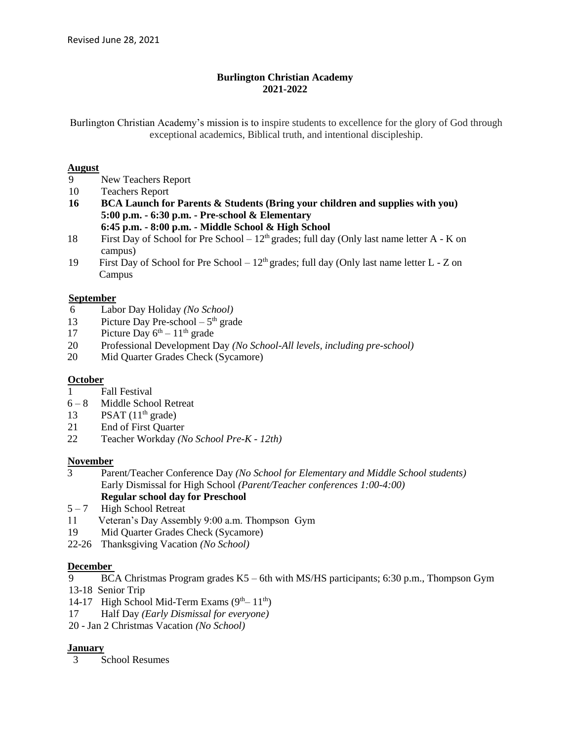# **Burlington Christian Academy 2021-2022**

Burlington Christian Academy's mission is to inspire students to excellence for the glory of God through exceptional academics, Biblical truth, and intentional discipleship.

#### **August**

- 9 New Teachers Report
- 10 Teachers Report
- **16 BCA Launch for Parents & Students (Bring your children and supplies with you) 5:00 p.m. - 6:30 p.m. - Pre-school & Elementary**
	- **6:45 p.m. - 8:00 p.m. - Middle School & High School**
- 18 First Day of School for Pre School  $12<sup>th</sup>$  grades; full day (Only last name letter A K on campus)
- 19 First Day of School for Pre School  $12<sup>th</sup>$  grades; full day (Only last name letter L Z on Campus

#### **September**

- 6 Labor Day Holiday *(No School)*
- 13 Picture Day Pre-school  $-5<sup>th</sup>$  grade
- 17 Picture Day  $6<sup>th</sup> 11<sup>th</sup>$  grade
- 20 Professional Development Day *(No School-All levels, including pre-school)*
- 20 Mid Quarter Grades Check (Sycamore)

#### **October**

- 1 Fall Festival
- 6 8 Middle School Retreat
- 13 PSAT  $(11<sup>th</sup> \text{ grade})$
- 21 End of First Quarter
- 22 Teacher Workday *(No School Pre-K - 12th)*

#### **November**

- 3 Parent/Teacher Conference Day *(No School for Elementary and Middle School students)* Early Dismissal for High School *(Parent/Teacher conferences 1:00-4:00)* **Regular school day for Preschool**
- $5 7$  High School Retreat
- 11 Veteran's Day Assembly 9:00 a.m. Thompson Gym
- 19 Mid Quarter Grades Check (Sycamore)
- 22-26 Thanksgiving Vacation *(No School)*

# **December**

- 9 BCA Christmas Program grades K5 6th with MS/HS participants; 6:30 p.m., Thompson Gym 13-18 Senior Trip
- 14-17 High School Mid-Term Exams  $(9<sup>th</sup> 11<sup>th</sup>)$
- 17 Half Day *(Early Dismissal for everyone)*
- 20 Jan 2 Christmas Vacation *(No School)*

# **January**

3 School Resumes